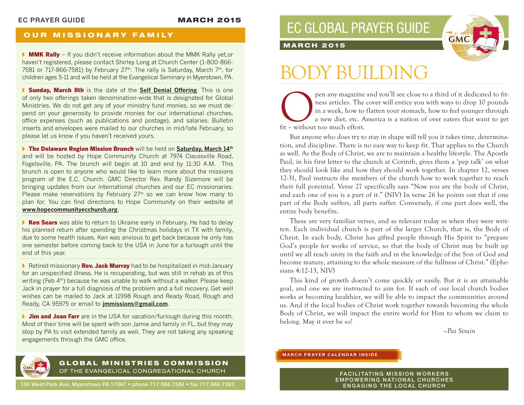## **OUR MISSIONARY FAMILY**

**NMK Rally** – If you didn't receive information about the MMK Rally yet, or haven't registered, please contact Shirley Long at Church Center (1-800-866- 7581 or 717-866-7581) by February 27<sup>th</sup>. The rally is Saturday, March 7<sup>th</sup>, for children ages 5-11 and will be held at the Evangelical Seminary in Myerstown, PA.

◗ Sunday, March 8th is the date of the **Self Denial Offering**. This is one of only two offerings taken denomination-wide that is designated for Global Ministries. We do not get any of your ministry fund monies, so we must depend on your generosity to provide monies for our international churches, office expenses (such as publications and postage), and salaries. Bulletin inserts and envelopes were mailed to our churches in mid/late February, so please let us know if you haven't received yours.

**• The Delaware Region Mission Brunch** will be held on Saturday, March 14th and will be hosted by Hope Community Church at 7974 Claussville Road, Fogelsville, PA. The brunch will begin at 10 and end by 11:30 A.M. This brunch is open to anyone who would like to learn more about the missions program of the E.C. Church. GMC Director Rev. Randy Sizemore will be bringing updates from our international churches and our EC missionaries. Please make reservations by February 27<sup>th</sup> so we can know how many to plan for. You can find directions to Hope Community on their website at **www.hopecommunityecchurch.org**.

■ Ken Sears was able to return to Ukraine early in February. He had to delay his planned return after spending the Christmas holidays in TX with family, due to some health issues. Ken was anxious to get back because he only has one semester before coming back to the USA in June for a furlough until the end of this year.

■ Retired missionary **Rev. Jack Murray** had to be hospitalized in mid-January for an unspecified illness. He is recuperating, but was still in rehab as of this writing (Feb 4th) because he was unable to walk without a walker. Please keep Jack in prayer for a full diagnosis of the problem and a full recovery. Get well wishes can be mailed to Jack at 11998 Rough and Ready Road, Rough and Ready, CA 95975 or email to **jmmissions@gmail.com**.

**If Jim and Joan Farr** are in the USA for vacation/furlough during this month. Most of their time will be spent with son Jamie and family in FL, but they may stop by PA to visit extended family as well. They are not taking any speaking engagements through the GMC office.





### **MARCH 2015**

# DY BUILDING

pen any magazine and you'll see close to a third of it dedicated to fit-<br>ness articles. The cover will entice you with ways to drop 10 pounds<br>in a week, how to flatten your stomach, how to feel younger through<br>fit – withou ness articles. The cover will entice you with ways to drop 10 pounds in a week, how to flatten your stomach, how to feel younger through a new diet, etc. America is a nation of over eaters that want to get fit – without too much effort.

But anyone who does try to stay in shape will tell you it takes time, determination, and discipline. There is no easy way to keep fit. That applies to the Church as well. As the Body of Christ, we are to maintain a healthy lifestyle. The Apostle Paul, in his first letter to the church at Corinth, gives them a 'pep talk' on what they should look like and how they should work together. In chapter 12, verses 12-31, Paul instructs the members of the church how to work together to reach their full potential. Verse 27 specifically says "Now you are the body of Christ, and each one of you is a part of it." (NIV) In verse 26 he points out that if one part of the Body suffers, all parts suffer. Conversely, if one part does well, the entire body benefits.

These are very familiar verses, and as relevant today as when they were written. Each individual church is part of the larger Church, that is, the Body of Christ. In each body, Christ has gifted people through His Spirit to "prepare God's people for works of service, so that the body of Christ may be built up until we all reach unity in the faith and in the knowledge of the Son of God and become mature, attaining to the whole measure of the fullness of Christ." (Ephesians 4:12-13, NIV)

This kind of growth doesn't come quickly or easily. But it is an attainable goal, and one we are instructed to aim for. If each of our local church bodies works at becoming healthier, we will be able to impact the communities around us. And if the local bodies of Christ work together towards becoming the whole Body of Christ, we will impact the entire world for Him to whom we claim to belong. May it ever be so!

*—Pat Strain*

### **MARCH PRAYER CALENDAR INSIDE**

**FACILITATING MISSION WORKERS** EMPOWERING NATIONAL CHURCHES ENGAGING THE LOCAL CHURCH

# GLOBAL MINISTRIES COMMISSION OF THE EVANGELICAL CONGREGATIONAL CHURCH